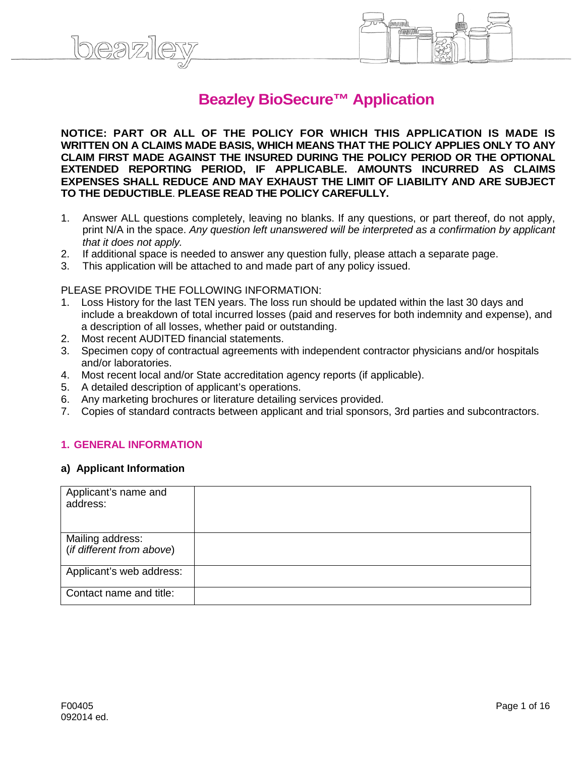# **Beazley BioSecure™ Application**

**NOTICE: PART OR ALL OF THE POLICY FOR WHICH THIS APPLICATION IS MADE IS WRITTEN ON A CLAIMS MADE BASIS, WHICH MEANS THAT THE POLICY APPLIES ONLY TO ANY CLAIM FIRST MADE AGAINST THE INSURED DURING THE POLICY PERIOD OR THE OPTIONAL EXTENDED REPORTING PERIOD, IF APPLICABLE. AMOUNTS INCURRED AS CLAIMS EXPENSES SHALL REDUCE AND MAY EXHAUST THE LIMIT OF LIABILITY AND ARE SUBJECT TO THE DEDUCTIBLE**. **PLEASE READ THE POLICY CAREFULLY.**

- 1. Answer ALL questions completely, leaving no blanks. If any questions, or part thereof, do not apply, print N/A in the space. *Any question left unanswered will be interpreted as a confirmation by applicant that it does not apply.*
- 2. If additional space is needed to answer any question fully, please attach a separate page.
- 3. This application will be attached to and made part of any policy issued.

#### PLEASE PROVIDE THE FOLLOWING INFORMATION:

- Loss History for the last TEN years. The loss run should be updated within the last 30 days and include a breakdown of total incurred losses (paid and reserves for both indemnity and expense), and a description of all losses, whether paid or outstanding.
- 2. Most recent AUDITED financial statements.
- 3. Specimen copy of contractual agreements with independent contractor physicians and/or hospitals and/or laboratories.
- 4. Most recent local and/or State accreditation agency reports (if applicable).
- 5. A detailed description of applicant's operations.
- 6. Any marketing brochures or literature detailing services provided.
- 7. Copies of standard contracts between applicant and trial sponsors, 3rd parties and subcontractors.

#### **1. GENERAL INFORMATION**

#### **a) Applicant Information**

| Applicant's name and<br>address:              |  |
|-----------------------------------------------|--|
| Mailing address:<br>(if different from above) |  |
| Applicant's web address:                      |  |
| Contact name and title:                       |  |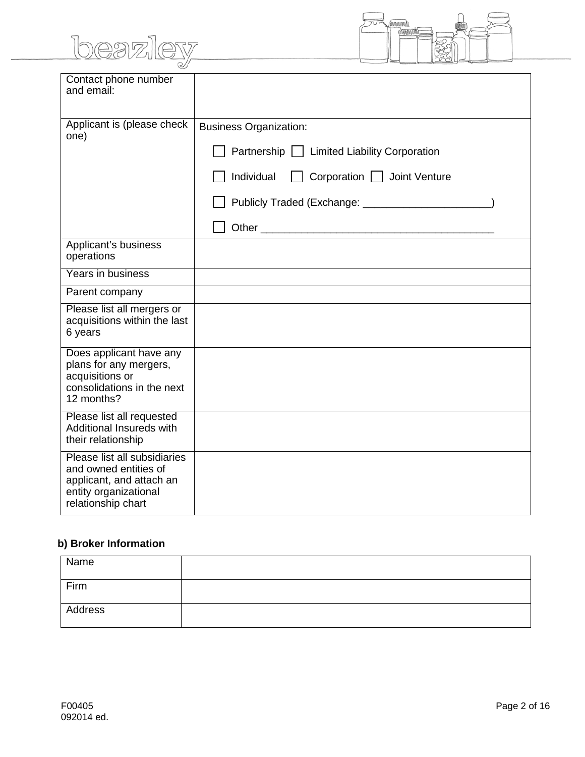# beazley



| Contact phone number<br>and email:                                                                                               |                                             |
|----------------------------------------------------------------------------------------------------------------------------------|---------------------------------------------|
|                                                                                                                                  |                                             |
| Applicant is (please check<br>one)                                                                                               | <b>Business Organization:</b>               |
|                                                                                                                                  | Partnership   Limited Liability Corporation |
|                                                                                                                                  | Individual<br>Corporation   Joint Venture   |
|                                                                                                                                  |                                             |
|                                                                                                                                  |                                             |
| Applicant's business<br>operations                                                                                               |                                             |
| Years in business                                                                                                                |                                             |
| Parent company                                                                                                                   |                                             |
| Please list all mergers or<br>acquisitions within the last<br>6 years                                                            |                                             |
| Does applicant have any<br>plans for any mergers,<br>acquisitions or<br>consolidations in the next<br>12 months?                 |                                             |
| Please list all requested<br>Additional Insureds with<br>their relationship                                                      |                                             |
| Please list all subsidiaries<br>and owned entities of<br>applicant, and attach an<br>entity organizational<br>relationship chart |                                             |

## **b) Broker Information**

| Name    |  |
|---------|--|
| Firm    |  |
| Address |  |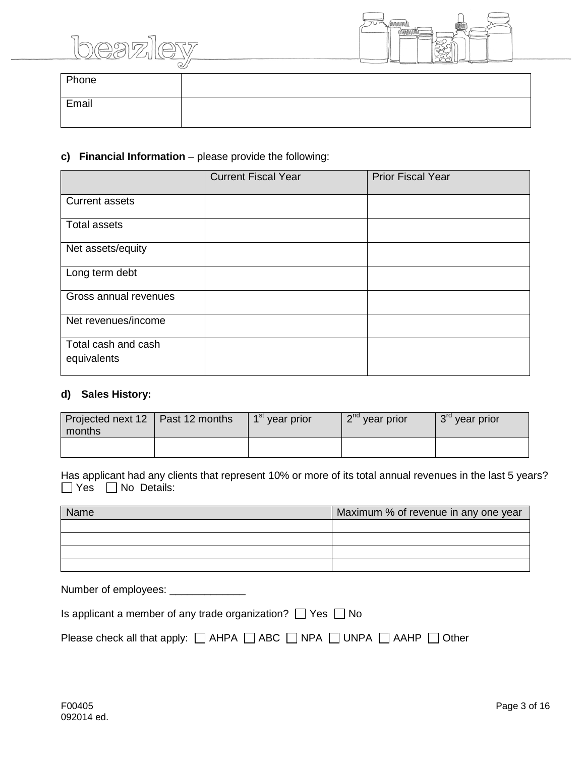



|       | ー |
|-------|---|
| Phone |   |
| Email |   |

### **c) Financial Information** – please provide the following:

|                                    | <b>Current Fiscal Year</b> | <b>Prior Fiscal Year</b> |
|------------------------------------|----------------------------|--------------------------|
| <b>Current assets</b>              |                            |                          |
| Total assets                       |                            |                          |
| Net assets/equity                  |                            |                          |
| Long term debt                     |                            |                          |
| Gross annual revenues              |                            |                          |
| Net revenues/income                |                            |                          |
| Total cash and cash<br>equivalents |                            |                          |

#### **d) Sales History:**

| Projected next 12   Past 12 months<br>months | 1 <sup>st</sup> year prior | $2nd$ year prior | 3 <sup>rd</sup> year prior |
|----------------------------------------------|----------------------------|------------------|----------------------------|
|                                              |                            |                  |                            |

|  | Has applicant had any clients that represent 10% or more of its total annual revenues in the last 5 years? |  |  |  |  |  |  |
|--|------------------------------------------------------------------------------------------------------------|--|--|--|--|--|--|
|  | □ Yes □ No Details:                                                                                        |  |  |  |  |  |  |

| Name | Maximum % of revenue in any one year |  |  |  |
|------|--------------------------------------|--|--|--|
|      |                                      |  |  |  |
|      |                                      |  |  |  |
|      |                                      |  |  |  |
|      |                                      |  |  |  |

| Number of employees: ______________                                                                 |
|-----------------------------------------------------------------------------------------------------|
| Is applicant a member of any trade organization? $\Box$ Yes $\Box$ No                               |
| Please check all that apply: $\Box$ AHPA $\Box$ ABC $\Box$ NPA $\Box$ UNPA $\Box$ AAHP $\Box$ Other |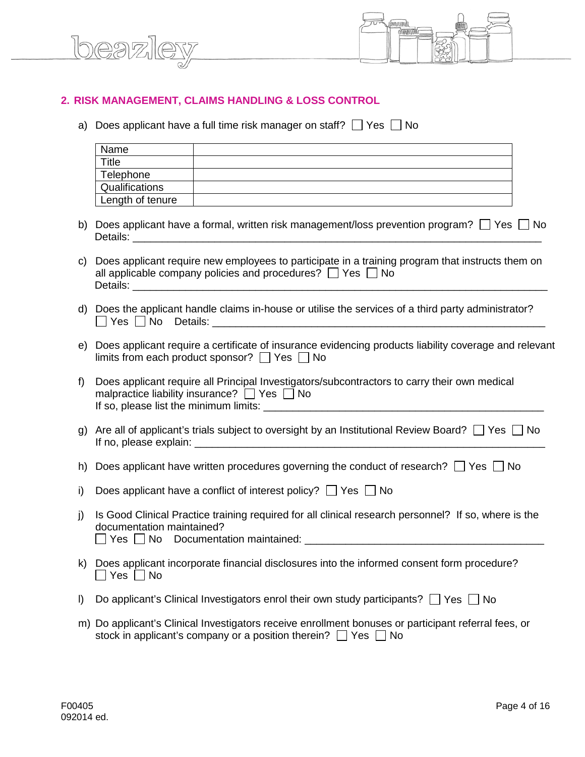



#### **2. RISK MANAGEMENT, CLAIMS HANDLING & LOSS CONTROL**

a) Does applicant have a full time risk manager on staff?  $\Box$  Yes  $\Box$  No

|         | Name                                                                                                                                                  | <u> 1989 - Johann Stoff, deutscher Stoff, der Stoff, der Stoff, der Stoff, der Stoff, der Stoff, der Stoff, der S</u>                                                      |  |  |  |  |
|---------|-------------------------------------------------------------------------------------------------------------------------------------------------------|----------------------------------------------------------------------------------------------------------------------------------------------------------------------------|--|--|--|--|
|         | <b>Title</b>                                                                                                                                          | <u> 1980 - Jan Stein Stein Stein Stein Stein Stein Stein Stein Stein Stein Stein Stein Stein Stein Stein Stein S</u>                                                       |  |  |  |  |
|         | Telephone                                                                                                                                             | <u> 1989 - Johann Stoff, deutscher Stoff, der Stoff, der Stoff, der Stoff, der Stoff, der Stoff, der Stoff, der S</u>                                                      |  |  |  |  |
|         | Qualifications                                                                                                                                        |                                                                                                                                                                            |  |  |  |  |
|         | Length of tenure                                                                                                                                      |                                                                                                                                                                            |  |  |  |  |
| b)      |                                                                                                                                                       | Does applicant have a formal, written risk management/loss prevention program? □ Yes □ No                                                                                  |  |  |  |  |
| C)      |                                                                                                                                                       | Does applicant require new employees to participate in a training program that instructs them on<br>all applicable company policies and procedures? $\Box$ Yes $\Box$ No   |  |  |  |  |
|         |                                                                                                                                                       | d) Does the applicant handle claims in-house or utilise the services of a third party administrator?                                                                       |  |  |  |  |
| e)      |                                                                                                                                                       | Does applicant require a certificate of insurance evidencing products liability coverage and relevant<br>limits from each product sponsor? $\Box$ Yes $\Box$ No            |  |  |  |  |
| f)      | Does applicant require all Principal Investigators/subcontractors to carry their own medical<br>malpractice liability insurance? $\Box$ Yes $\Box$ No |                                                                                                                                                                            |  |  |  |  |
| g)      |                                                                                                                                                       | Are all of applicant's trials subject to oversight by an Institutional Review Board? $\Box$ Yes $\Box$ No                                                                  |  |  |  |  |
| h)      |                                                                                                                                                       | Does applicant have written procedures governing the conduct of research? $\Box$ Yes $\Box$ No                                                                             |  |  |  |  |
| i)      |                                                                                                                                                       | Does applicant have a conflict of interest policy? $\Box$ Yes $\Box$ No                                                                                                    |  |  |  |  |
| j)      | documentation maintained?                                                                                                                             | Is Good Clinical Practice training required for all clinical research personnel? If so, where is the                                                                       |  |  |  |  |
|         | $Yes \mid \text{No}$                                                                                                                                  | k) Does applicant incorporate financial disclosures into the informed consent form procedure?                                                                              |  |  |  |  |
| $\vert$ |                                                                                                                                                       | Do applicant's Clinical Investigators enrol their own study participants? $\Box$ Yes $\Box$ No                                                                             |  |  |  |  |
|         |                                                                                                                                                       | m) Do applicant's Clinical Investigators receive enrollment bonuses or participant referral fees, or<br>stock in applicant's company or a position therein?  <br>Yes<br>No |  |  |  |  |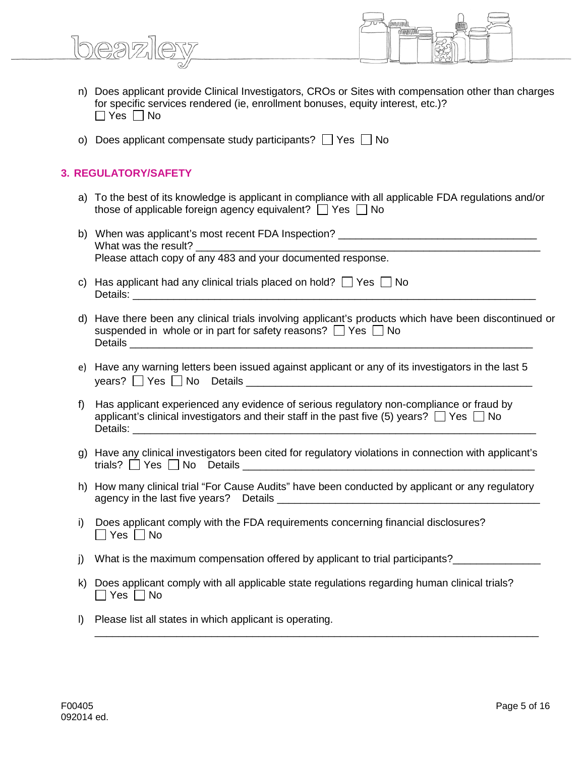

- n) Does applicant provide Clinical Investigators, CROs or Sites with compensation other than charges for specific services rendered (ie, enrollment bonuses, equity interest, etc.)?  $\Box$  Yes  $\Box$  No
- o) Does applicant compensate study participants?  $\Box$  Yes  $\Box$  No

#### **3. REGULATORY/SAFETY**

- a) To the best of its knowledge is applicant in compliance with all applicable FDA regulations and/or those of applicable foreign agency equivalent?  $\Box$  Yes  $\Box$  No
- b) When was applicant's most recent FDA Inspection? What was the result? Please attach copy of any 483 and your documented response.
- c) Has applicant had any clinical trials placed on hold?  $\Box$  Yes  $\Box$  No Details: \_\_\_\_\_\_\_\_\_\_\_\_\_\_\_\_\_\_\_\_\_\_\_\_\_\_\_\_\_\_\_\_\_\_\_\_\_\_\_\_\_\_\_\_\_\_\_\_\_\_\_\_\_\_\_\_\_\_\_\_\_\_\_\_\_\_\_\_\_
- d) Have there been any clinical trials involving applicant's products which have been discontinued or suspended in whole or in part for safety reasons?  $\Box$  Yes  $\Box$  No Details **Details**
- e) Have any warning letters been issued against applicant or any of its investigators in the last 5  $\mathsf{years?}$   $\Box$  Yes  $\Box$  No Details  $\Box$
- f) Has applicant experienced any evidence of serious regulatory non-compliance or fraud by applicant's clinical investigators and their staff in the past five (5) years?  $\Box$  Yes  $\Box$  No Details: \_\_\_\_\_\_\_\_\_\_\_\_\_\_\_\_\_\_\_\_\_\_\_\_\_\_\_\_\_\_\_\_\_\_\_\_\_\_\_\_\_\_\_\_\_\_\_\_\_\_\_\_\_\_\_\_\_\_\_\_\_\_\_\_\_\_\_\_\_
- g) Have any clinical investigators been cited for regulatory violations in connection with applicant's trials?  $\Box$  Yes  $\Box$  No Details  $\Box$
- h) How many clinical trial "For Cause Audits" have been conducted by applicant or any regulatory agency in the last five years? Details \_\_\_\_\_\_\_\_\_\_\_\_\_\_\_\_\_\_\_\_\_\_\_\_\_\_\_\_\_\_\_\_\_\_\_\_\_\_\_\_\_\_\_\_\_
- i) Does applicant comply with the FDA requirements concerning financial disclosures?  $\Box$  Yes  $\Box$  No
- j) What is the maximum compensation offered by applicant to trial participants?
- k) Does applicant comply with all applicable state regulations regarding human clinical trials?  $\Box$  Yes  $\Box$  No

\_\_\_\_\_\_\_\_\_\_\_\_\_\_\_\_\_\_\_\_\_\_\_\_\_\_\_\_\_\_\_\_\_\_\_\_\_\_\_\_\_\_\_\_\_\_\_\_\_\_\_\_\_\_\_\_\_\_\_\_\_\_\_\_\_\_\_\_\_\_\_\_\_\_\_\_

l) Please list all states in which applicant is operating.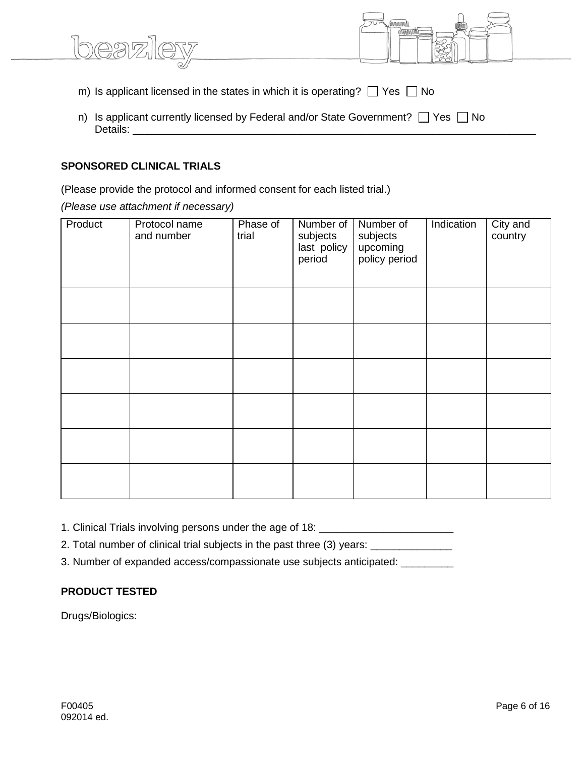| m) Is applicant licensed in the states in which it is operating? $\Box$ Yes $\Box$ No |  |
|---------------------------------------------------------------------------------------|--|
|                                                                                       |  |
|                                                                                       |  |
|                                                                                       |  |
|                                                                                       |  |

Meaghnail

n) Is applicant currently licensed by Federal and/or State Government?  $\Box$  Yes  $\Box$  No Details: \_\_\_\_\_\_\_\_\_\_\_\_\_\_\_\_\_\_\_\_\_\_\_\_\_\_\_\_\_\_\_\_\_\_\_\_\_\_\_\_\_\_\_\_\_\_\_\_\_\_\_\_\_\_\_\_\_\_\_\_\_\_\_\_\_\_\_\_\_

#### **SPONSORED CLINICAL TRIALS**

lbeazl

(Please provide the protocol and informed consent for each listed trial.)

*(Please use attachment if necessary)*

| Product | Protocol name<br>and number | Phase of<br>trial | Number of<br>subjects<br>last policy<br>period | Number of<br>subjects<br>upcoming<br>policy period | Indication | City and<br>country |
|---------|-----------------------------|-------------------|------------------------------------------------|----------------------------------------------------|------------|---------------------|
|         |                             |                   |                                                |                                                    |            |                     |
|         |                             |                   |                                                |                                                    |            |                     |
|         |                             |                   |                                                |                                                    |            |                     |
|         |                             |                   |                                                |                                                    |            |                     |
|         |                             |                   |                                                |                                                    |            |                     |
|         |                             |                   |                                                |                                                    |            |                     |

1. Clinical Trials involving persons under the age of 18: \_\_\_\_\_\_\_\_\_\_\_\_\_\_\_\_\_\_\_\_\_\_

2. Total number of clinical trial subjects in the past three (3) years: \_\_\_\_\_\_\_\_\_\_

3. Number of expanded access/compassionate use subjects anticipated: \_\_\_\_\_\_\_\_\_

#### **PRODUCT TESTED**

Drugs/Biologics: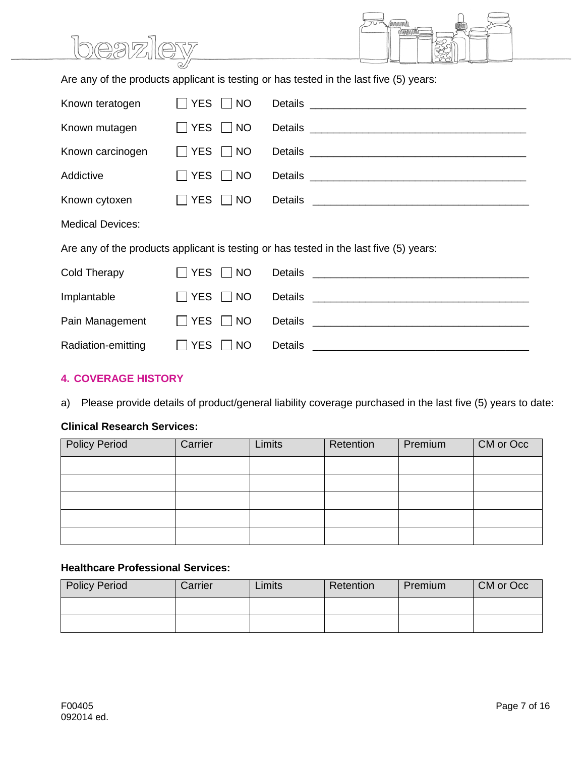|                                                                                        | beazley                 | ímnnmi<br><b>MANAMANI</b>                                                                              |  |  |  |  |
|----------------------------------------------------------------------------------------|-------------------------|--------------------------------------------------------------------------------------------------------|--|--|--|--|
| Are any of the products applicant is testing or has tested in the last five (5) years: |                         |                                                                                                        |  |  |  |  |
| Known teratogen                                                                        | <b>YES</b><br>$\Box$ NO |                                                                                                        |  |  |  |  |
| Known mutagen                                                                          | YES NO                  |                                                                                                        |  |  |  |  |
| Known carcinogen                                                                       | YES NO                  |                                                                                                        |  |  |  |  |
| Addictive                                                                              | <b>YES</b><br>$\Box$ NO |                                                                                                        |  |  |  |  |
| Known cytoxen                                                                          | YES NO                  |                                                                                                        |  |  |  |  |
| <b>Medical Devices:</b>                                                                |                         |                                                                                                        |  |  |  |  |
|                                                                                        |                         | Are any of the products applicant is testing or has tested in the last five (5) years:                 |  |  |  |  |
| Cold Therapy                                                                           | YES $\Box$ NO           | <b>Details</b>                                                                                         |  |  |  |  |
| Implantable                                                                            | <b>YES</b><br>$\Box$ NO | <u> 2002 - Jan James James Barnett, militar film eta aldean arteko hamarkada (h. 1878).</u><br>Details |  |  |  |  |
| Pain Management                                                                        | <b>YES</b><br>$\Box$ NO | Details                                                                                                |  |  |  |  |
| Radiation-emitting                                                                     | YES $\Box$ NO           | <b>Details</b>                                                                                         |  |  |  |  |

#### **4. COVERAGE HISTORY**

a) Please provide details of product/general liability coverage purchased in the last five (5) years to date:

#### **Clinical Research Services:**

| <b>Policy Period</b> | Carrier | Limits | Retention | Premium | CM or Occ |
|----------------------|---------|--------|-----------|---------|-----------|
|                      |         |        |           |         |           |
|                      |         |        |           |         |           |
|                      |         |        |           |         |           |
|                      |         |        |           |         |           |
|                      |         |        |           |         |           |

#### **Healthcare Professional Services:**

| <b>Policy Period</b> | Carrier | _imits | Retention | Premium | CM or Occ |
|----------------------|---------|--------|-----------|---------|-----------|
|                      |         |        |           |         |           |
|                      |         |        |           |         |           |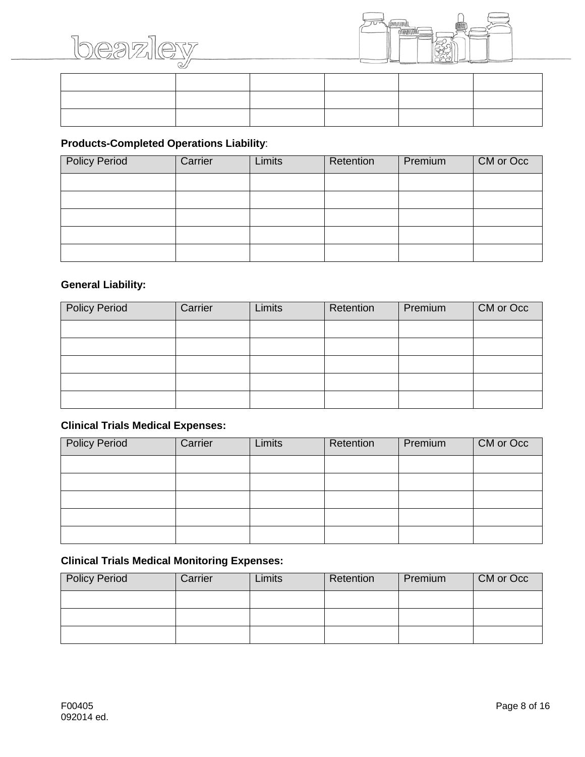



| _______ |  |  |  |
|---------|--|--|--|
|         |  |  |  |
|         |  |  |  |

#### **Products-Completed Operations Liability**:

| <b>Policy Period</b> | Carrier | Limits | Retention | Premium | CM or Occ |
|----------------------|---------|--------|-----------|---------|-----------|
|                      |         |        |           |         |           |
|                      |         |        |           |         |           |
|                      |         |        |           |         |           |
|                      |         |        |           |         |           |
|                      |         |        |           |         |           |

#### **General Liability:**

| <b>Policy Period</b> | Carrier | <b>Limits</b> | Retention | Premium | CM or Occ |
|----------------------|---------|---------------|-----------|---------|-----------|
|                      |         |               |           |         |           |
|                      |         |               |           |         |           |
|                      |         |               |           |         |           |
|                      |         |               |           |         |           |
|                      |         |               |           |         |           |

#### **Clinical Trials Medical Expenses:**

| <b>Policy Period</b> | Carrier | Limits | Retention | Premium | CM or Occ |
|----------------------|---------|--------|-----------|---------|-----------|
|                      |         |        |           |         |           |
|                      |         |        |           |         |           |
|                      |         |        |           |         |           |
|                      |         |        |           |         |           |
|                      |         |        |           |         |           |

### **Clinical Trials Medical Monitoring Expenses:**

| <b>Policy Period</b> | Carrier | .imits | Retention | Premium | CM or Occ |
|----------------------|---------|--------|-----------|---------|-----------|
|                      |         |        |           |         |           |
|                      |         |        |           |         |           |
|                      |         |        |           |         |           |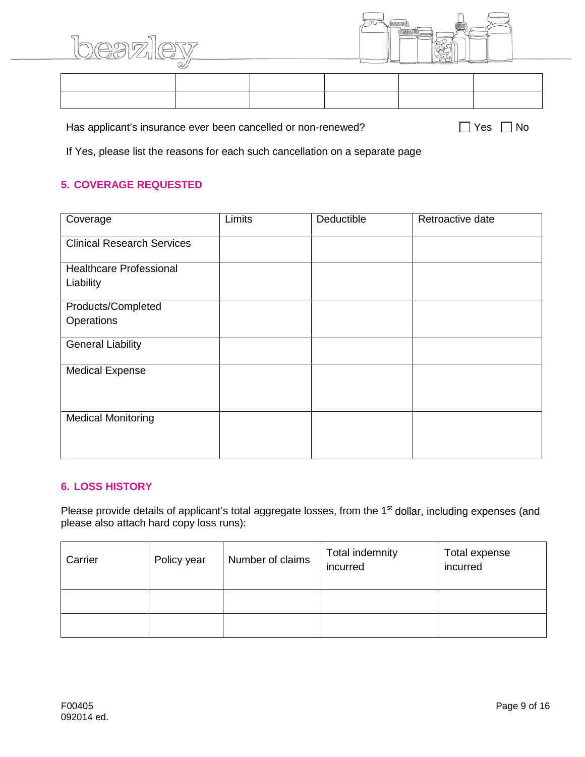



Has applicant's insurance ever been cancelled or non-renewed?  $\Box$  Yes  $\Box$  No

If Yes, please list the reasons for each such cancellation on a separate page

#### **5. COVERAGE REQUESTED**

| Coverage                                    | Limits | Deductible | Retroactive date |
|---------------------------------------------|--------|------------|------------------|
| <b>Clinical Research Services</b>           |        |            |                  |
| <b>Healthcare Professional</b><br>Liability |        |            |                  |
| Products/Completed<br>Operations            |        |            |                  |
| <b>General Liability</b>                    |        |            |                  |
| <b>Medical Expense</b>                      |        |            |                  |
| <b>Medical Monitoring</b>                   |        |            |                  |

#### **6. LOSS HISTORY**

Please provide details of applicant's total aggregate losses, from the 1<sup>st</sup> dollar, including expenses (and please also attach hard copy loss runs):

| Carrier | Policy year | Number of claims | Total indemnity<br>incurred | Total expense<br>incurred |
|---------|-------------|------------------|-----------------------------|---------------------------|
|         |             |                  |                             |                           |
|         |             |                  |                             |                           |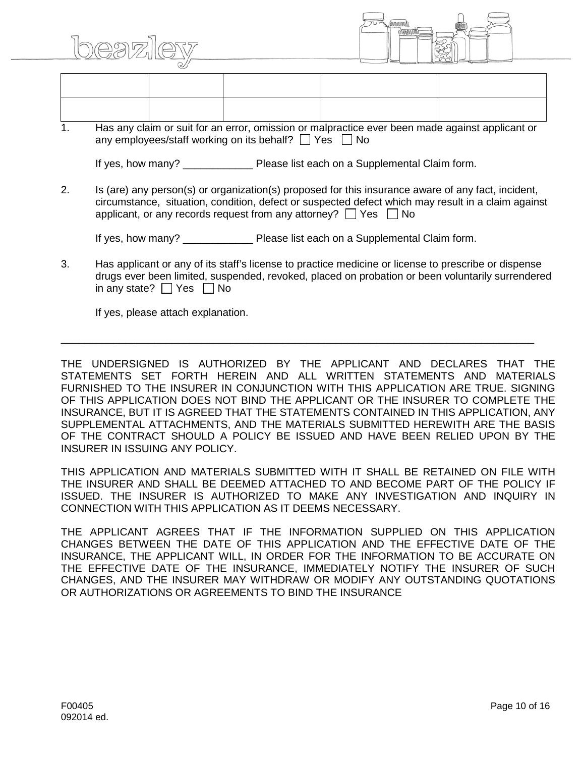



1. Has any claim or suit for an error, omission or malpractice ever been made against applicant or any employees/staff working on its behalf?  $\Box$  Yes  $\Box$  No

If yes, how many? Please list each on a Supplemental Claim form.

2. Is (are) any person(s) or organization(s) proposed for this insurance aware of any fact, incident, circumstance, situation, condition, defect or suspected defect which may result in a claim against applicant, or any records request from any attorney?  $\Box$  Yes  $\Box$  No

If yes, how many? The Please list each on a Supplemental Claim form.

3. Has applicant or any of its staff's license to practice medicine or license to prescribe or dispense drugs ever been limited, suspended, revoked, placed on probation or been voluntarily surrendered in any state?  $\Box$  Yes  $\Box$  No

\_\_\_\_\_\_\_\_\_\_\_\_\_\_\_\_\_\_\_\_\_\_\_\_\_\_\_\_\_\_\_\_\_\_\_\_\_\_\_\_\_\_\_\_\_\_\_\_\_\_\_\_\_\_\_\_\_\_\_\_\_\_\_\_\_\_\_\_\_\_\_\_\_\_\_\_\_\_\_\_\_

If yes, please attach explanation.

THE UNDERSIGNED IS AUTHORIZED BY THE APPLICANT AND DECLARES THAT THE STATEMENTS SET FORTH HEREIN AND ALL WRITTEN STATEMENTS AND MATERIALS FURNISHED TO THE INSURER IN CONJUNCTION WITH THIS APPLICATION ARE TRUE. SIGNING OF THIS APPLICATION DOES NOT BIND THE APPLICANT OR THE INSURER TO COMPLETE THE INSURANCE, BUT IT IS AGREED THAT THE STATEMENTS CONTAINED IN THIS APPLICATION, ANY SUPPLEMENTAL ATTACHMENTS, AND THE MATERIALS SUBMITTED HEREWITH ARE THE BASIS OF THE CONTRACT SHOULD A POLICY BE ISSUED AND HAVE BEEN RELIED UPON BY THE INSURER IN ISSUING ANY POLICY.

THIS APPLICATION AND MATERIALS SUBMITTED WITH IT SHALL BE RETAINED ON FILE WITH THE INSURER AND SHALL BE DEEMED ATTACHED TO AND BECOME PART OF THE POLICY IF ISSUED. THE INSURER IS AUTHORIZED TO MAKE ANY INVESTIGATION AND INQUIRY IN CONNECTION WITH THIS APPLICATION AS IT DEEMS NECESSARY.

THE APPLICANT AGREES THAT IF THE INFORMATION SUPPLIED ON THIS APPLICATION CHANGES BETWEEN THE DATE OF THIS APPLICATION AND THE EFFECTIVE DATE OF THE INSURANCE, THE APPLICANT WILL, IN ORDER FOR THE INFORMATION TO BE ACCURATE ON THE EFFECTIVE DATE OF THE INSURANCE, IMMEDIATELY NOTIFY THE INSURER OF SUCH CHANGES, AND THE INSURER MAY WITHDRAW OR MODIFY ANY OUTSTANDING QUOTATIONS OR AUTHORIZATIONS OR AGREEMENTS TO BIND THE INSURANCE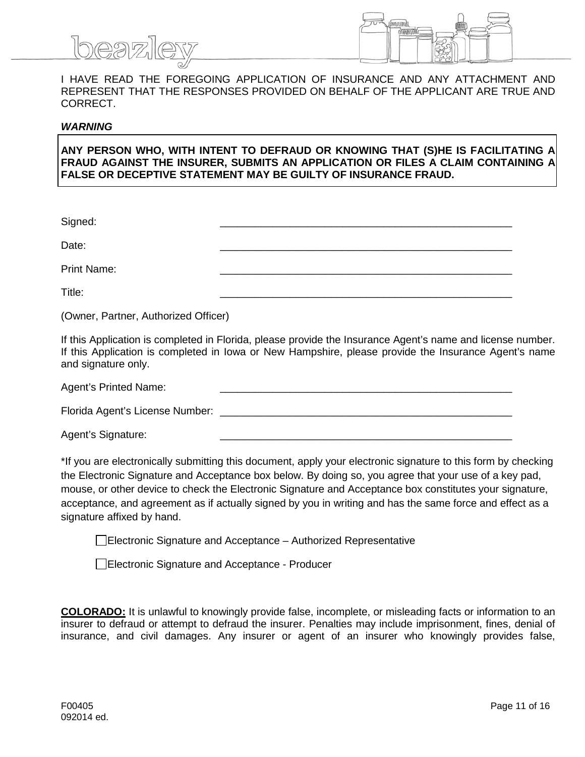

I HAVE READ THE FOREGOING APPLICATION OF INSURANCE AND ANY ATTACHMENT AND REPRESENT THAT THE RESPONSES PROVIDED ON BEHALF OF THE APPLICANT ARE TRUE AND CORRECT.

#### *WARNING*

**ANY PERSON WHO, WITH INTENT TO DEFRAUD OR KNOWING THAT (S)HE IS FACILITATING A FRAUD AGAINST THE INSURER, SUBMITS AN APPLICATION OR FILES A CLAIM CONTAINING A FALSE OR DECEPTIVE STATEMENT MAY BE GUILTY OF INSURANCE FRAUD.**

| Signed:     |  |
|-------------|--|
| Date:       |  |
| Print Name: |  |
| Title:      |  |

(Owner, Partner, Authorized Officer)

If this Application is completed in Florida, please provide the Insurance Agent's name and license number. If this Application is completed in Iowa or New Hampshire, please provide the Insurance Agent's name and signature only.

| <b>Agent's Printed Name:</b> |  |
|------------------------------|--|
|                              |  |

Florida Agent's License Number:

Agent's Signature:

\*If you are electronically submitting this document, apply your electronic signature to this form by checking the Electronic Signature and Acceptance box below. By doing so, you agree that your use of a key pad, mouse, or other device to check the Electronic Signature and Acceptance box constitutes your signature, acceptance, and agreement as if actually signed by you in writing and has the same force and effect as a signature affixed by hand.

Electronic Signature and Acceptance – Authorized Representative

Electronic Signature and Acceptance - Producer

**COLORADO:** It is unlawful to knowingly provide false, incomplete, or misleading facts or information to an insurer to defraud or attempt to defraud the insurer. Penalties may include imprisonment, fines, denial of insurance, and civil damages. Any insurer or agent of an insurer who knowingly provides false,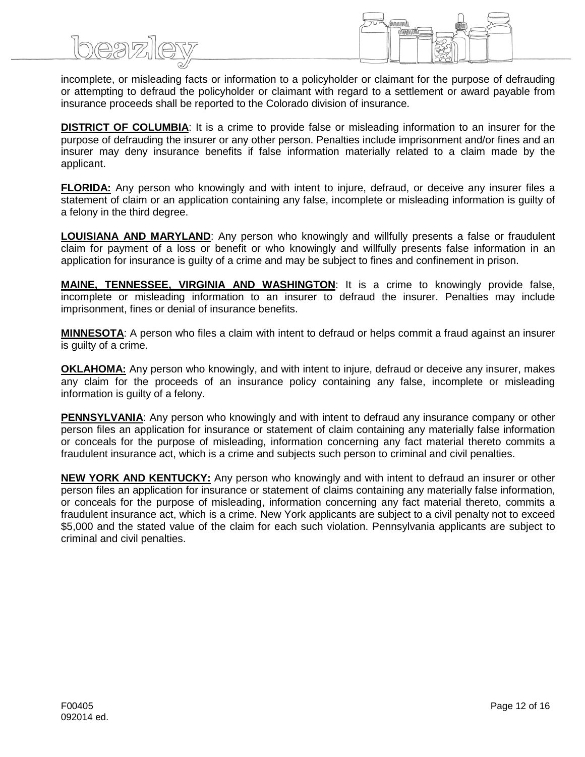incomplete, or misleading facts or information to a policyholder or claimant for the purpose of defrauding or attempting to defraud the policyholder or claimant with regard to a settlement or award payable from insurance proceeds shall be reported to the Colorado division of insurance.

**DISTRICT OF COLUMBIA**: It is a crime to provide false or misleading information to an insurer for the purpose of defrauding the insurer or any other person. Penalties include imprisonment and/or fines and an insurer may deny insurance benefits if false information materially related to a claim made by the applicant.

**FLORIDA:** Any person who knowingly and with intent to injure, defraud, or deceive any insurer files a statement of claim or an application containing any false, incomplete or misleading information is guilty of a felony in the third degree.

**LOUISIANA AND MARYLAND:** Any person who knowingly and willfully presents a false or fraudulent claim for payment of a loss or benefit or who knowingly and willfully presents false information in an application for insurance is guilty of a crime and may be subject to fines and confinement in prison.

**MAINE, TENNESSEE, VIRGINIA AND WASHINGTON**: It is a crime to knowingly provide false, incomplete or misleading information to an insurer to defraud the insurer. Penalties may include imprisonment, fines or denial of insurance benefits.

**MINNESOTA**: A person who files a claim with intent to defraud or helps commit a fraud against an insurer is guilty of a crime.

**OKLAHOMA:** Any person who knowingly, and with intent to injure, defraud or deceive any insurer, makes any claim for the proceeds of an insurance policy containing any false, incomplete or misleading information is guilty of a felony.

**PENNSYLVANIA**: Any person who knowingly and with intent to defraud any insurance company or other person files an application for insurance or statement of claim containing any materially false information or conceals for the purpose of misleading, information concerning any fact material thereto commits a fraudulent insurance act, which is a crime and subjects such person to criminal and civil penalties.

**NEW YORK AND KENTUCKY:** Any person who knowingly and with intent to defraud an insurer or other person files an application for insurance or statement of claims containing any materially false information, or conceals for the purpose of misleading, information concerning any fact material thereto, commits a fraudulent insurance act, which is a crime. New York applicants are subject to a civil penalty not to exceed \$5,000 and the stated value of the claim for each such violation. Pennsylvania applicants are subject to criminal and civil penalties.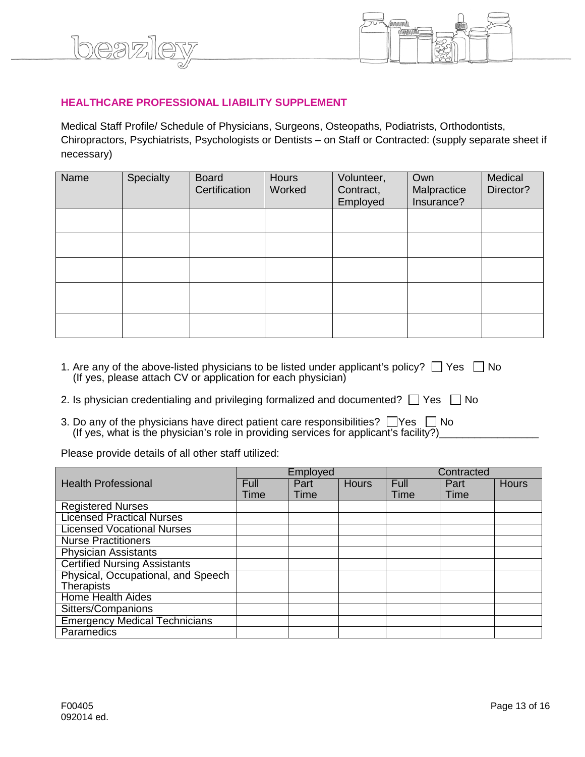

#### **HEALTHCARE PROFESSIONAL LIABILITY SUPPLEMENT**

beaz

Medical Staff Profile/ Schedule of Physicians, Surgeons, Osteopaths, Podiatrists, Orthodontists, Chiropractors, Psychiatrists, Psychologists or Dentists – on Staff or Contracted: (supply separate sheet if necessary)

| Name | Specialty | <b>Board</b><br>Certification | <b>Hours</b><br>Worked | Volunteer,<br>Contract,<br>Employed | Own<br>Malpractice<br>Insurance? | Medical<br>Director? |
|------|-----------|-------------------------------|------------------------|-------------------------------------|----------------------------------|----------------------|
|      |           |                               |                        |                                     |                                  |                      |
|      |           |                               |                        |                                     |                                  |                      |
|      |           |                               |                        |                                     |                                  |                      |
|      |           |                               |                        |                                     |                                  |                      |
|      |           |                               |                        |                                     |                                  |                      |

- 1. Are any of the above-listed physicians to be listed under applicant's policy?  $\Box$  Yes  $\Box$  No (If yes, please attach CV or application for each physician)
- 2. Is physician credentialing and privileging formalized and documented?  $\Box$  Yes  $\Box$  No
- 3. Do any of the physicians have direct patient care responsibilities?  $\Box$  Yes  $\Box$  No (If yes, what is the physician's role in providing services for applicant's facility?)

Please provide details of all other staff utilized:

|                                      |             | Employed |              |      | Contracted |              |
|--------------------------------------|-------------|----------|--------------|------|------------|--------------|
| <b>Health Professional</b>           | <b>Full</b> | Part     | <b>Hours</b> | Full | Part       | <b>Hours</b> |
|                                      | Time        | Time     |              | Time | Time       |              |
| <b>Registered Nurses</b>             |             |          |              |      |            |              |
| <b>Licensed Practical Nurses</b>     |             |          |              |      |            |              |
| <b>Licensed Vocational Nurses</b>    |             |          |              |      |            |              |
| <b>Nurse Practitioners</b>           |             |          |              |      |            |              |
| <b>Physician Assistants</b>          |             |          |              |      |            |              |
| <b>Certified Nursing Assistants</b>  |             |          |              |      |            |              |
| Physical, Occupational, and Speech   |             |          |              |      |            |              |
| <b>Therapists</b>                    |             |          |              |      |            |              |
| <b>Home Health Aides</b>             |             |          |              |      |            |              |
| Sitters/Companions                   |             |          |              |      |            |              |
| <b>Emergency Medical Technicians</b> |             |          |              |      |            |              |
| Paramedics                           |             |          |              |      |            |              |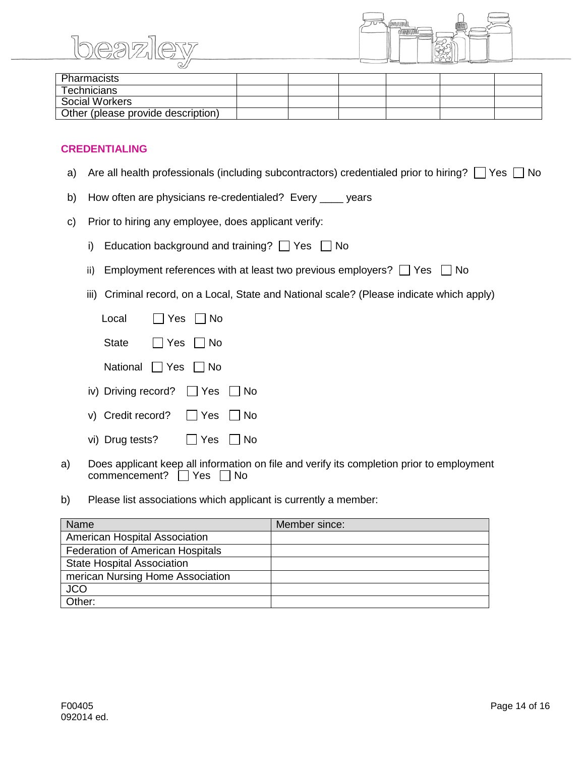beazi



| Pharmacists                        |  |  |  |
|------------------------------------|--|--|--|
| Technicians                        |  |  |  |
| Social Workers                     |  |  |  |
| Other (please provide description) |  |  |  |

#### **CREDENTIALING**

- a) Are all health professionals (including subcontractors) credentialed prior to hiring?  $\Box$  Yes  $\Box$  No
- b) How often are physicians re-credentialed? Every \_\_\_\_ years
- c) Prior to hiring any employee, does applicant verify:
	- i) Education background and training?  $\Box$  Yes  $\Box$  No
	- ii) Employment references with at least two previous employers?  $\Box$  Yes  $\Box$  No
	- iii) Criminal record, on a Local, State and National scale? (Please indicate which apply)

| Local                                    |  | $\Box$ Yes $\Box$ No |                      |
|------------------------------------------|--|----------------------|----------------------|
| State                                    |  | $\Box$ Yes $\Box$ No |                      |
| National <sub>1</sub> Yes 1 No           |  |                      |                      |
| iv) Driving record? $\Box$ Yes $\Box$ No |  |                      |                      |
| v) Credit record? $\Box$ Yes $\Box$ No   |  |                      |                      |
| vi) Drug tests?                          |  |                      | $\Box$ Yes $\Box$ No |

- a) Does applicant keep all information on file and verify its completion prior to employment commencement?  $\Box$  Yes  $\Box$  No
- b) Please list associations which applicant is currently a member:

| Name                                    | Member since: |
|-----------------------------------------|---------------|
| American Hospital Association           |               |
| <b>Federation of American Hospitals</b> |               |
| <b>State Hospital Association</b>       |               |
| merican Nursing Home Association        |               |
| <b>JCO</b>                              |               |
| Other:                                  |               |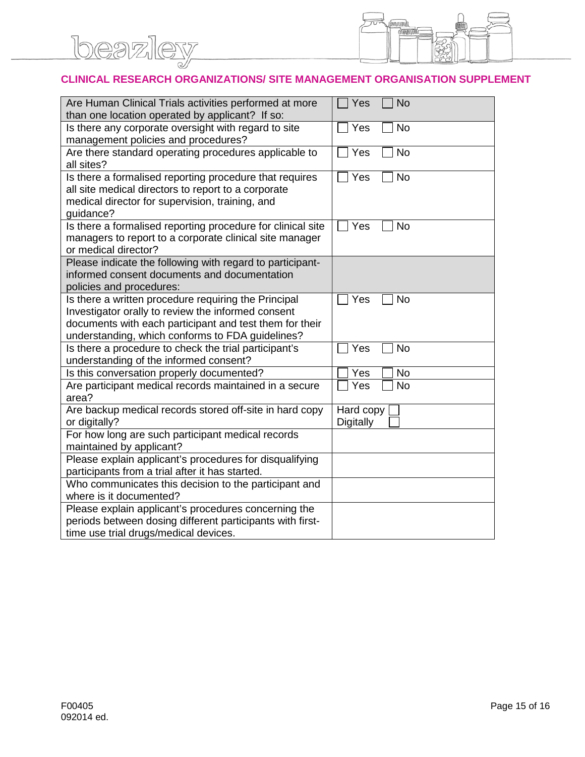

#### **CLINICAL RESEARCH ORGANIZATIONS/ SITE MANAGEMENT ORGANISATION SUPPLEMENT**

| Are Human Clinical Trials activities performed at more<br>than one location operated by applicant? If so: | Yes<br><b>No</b> |
|-----------------------------------------------------------------------------------------------------------|------------------|
| Is there any corporate oversight with regard to site<br>management policies and procedures?               | <b>No</b><br>Yes |
| Are there standard operating procedures applicable to                                                     | <b>No</b><br>Yes |
| all sites?                                                                                                |                  |
| Is there a formalised reporting procedure that requires                                                   | <b>No</b><br>Yes |
| all site medical directors to report to a corporate                                                       |                  |
| medical director for supervision, training, and                                                           |                  |
| guidance?                                                                                                 |                  |
| Is there a formalised reporting procedure for clinical site                                               | Yes<br><b>No</b> |
| managers to report to a corporate clinical site manager                                                   |                  |
| or medical director?                                                                                      |                  |
| Please indicate the following with regard to participant-                                                 |                  |
| informed consent documents and documentation                                                              |                  |
| policies and procedures:                                                                                  |                  |
| Is there a written procedure requiring the Principal                                                      | Yes<br><b>No</b> |
| Investigator orally to review the informed consent                                                        |                  |
| documents with each participant and test them for their                                                   |                  |
| understanding, which conforms to FDA guidelines?<br>Is there a procedure to check the trial participant's | <b>No</b><br>Yes |
| understanding of the informed consent?                                                                    |                  |
| Is this conversation properly documented?                                                                 | <b>No</b><br>Yes |
| Are participant medical records maintained in a secure                                                    | <b>No</b><br>Yes |
| area?                                                                                                     |                  |
| Are backup medical records stored off-site in hard copy                                                   | Hard copy        |
| or digitally?                                                                                             | Digitally        |
| For how long are such participant medical records                                                         |                  |
| maintained by applicant?                                                                                  |                  |
| Please explain applicant's procedures for disqualifying                                                   |                  |
| participants from a trial after it has started.                                                           |                  |
| Who communicates this decision to the participant and                                                     |                  |
| where is it documented?                                                                                   |                  |
| Please explain applicant's procedures concerning the                                                      |                  |
| periods between dosing different participants with first-                                                 |                  |
| time use trial drugs/medical devices.                                                                     |                  |